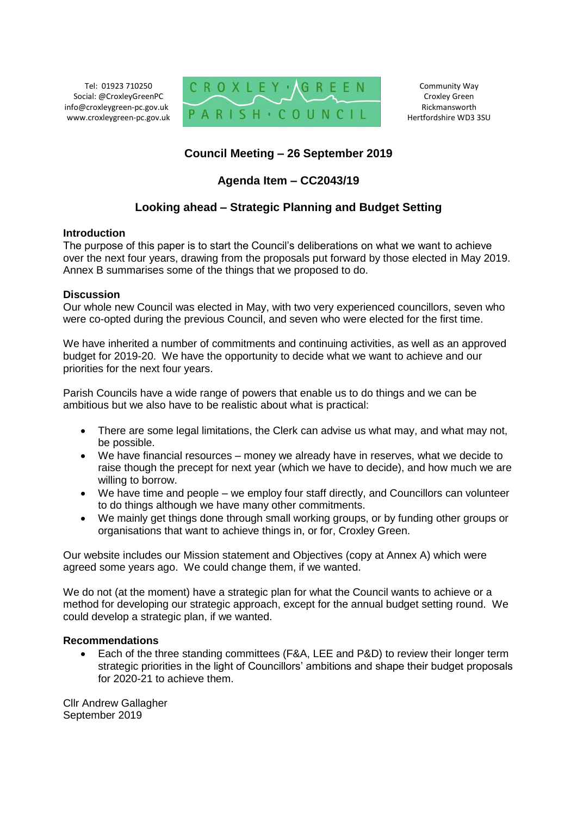Tel: 01923 710250 Social: @CroxleyGreenPC info@croxleygreen-pc.gov.uk www.croxleygreen-pc.gov.uk



Community Way Croxley Green Rickmansworth Hertfordshire WD3 3SU

## **Council Meeting – 26 September 2019**

## **Agenda Item – CC2043/19**

## **Looking ahead – Strategic Planning and Budget Setting**

## **Introduction**

The purpose of this paper is to start the Council's deliberations on what we want to achieve over the next four years, drawing from the proposals put forward by those elected in May 2019. Annex B summarises some of the things that we proposed to do.

## **Discussion**

Our whole new Council was elected in May, with two very experienced councillors, seven who were co-opted during the previous Council, and seven who were elected for the first time.

We have inherited a number of commitments and continuing activities, as well as an approved budget for 2019-20. We have the opportunity to decide what we want to achieve and our priorities for the next four years.

Parish Councils have a wide range of powers that enable us to do things and we can be ambitious but we also have to be realistic about what is practical:

- There are some legal limitations, the Clerk can advise us what may, and what may not, be possible.
- We have financial resources money we already have in reserves, what we decide to raise though the precept for next year (which we have to decide), and how much we are willing to borrow.
- We have time and people we employ four staff directly, and Councillors can volunteer to do things although we have many other commitments.
- We mainly get things done through small working groups, or by funding other groups or organisations that want to achieve things in, or for, Croxley Green.

Our website includes our Mission statement and Objectives (copy at Annex A) which were agreed some years ago. We could change them, if we wanted.

We do not (at the moment) have a strategic plan for what the Council wants to achieve or a method for developing our strategic approach, except for the annual budget setting round. We could develop a strategic plan, if we wanted.

## **Recommendations**

 Each of the three standing committees (F&A, LEE and P&D) to review their longer term strategic priorities in the light of Councillors' ambitions and shape their budget proposals for 2020-21 to achieve them.

Cllr Andrew Gallagher September 2019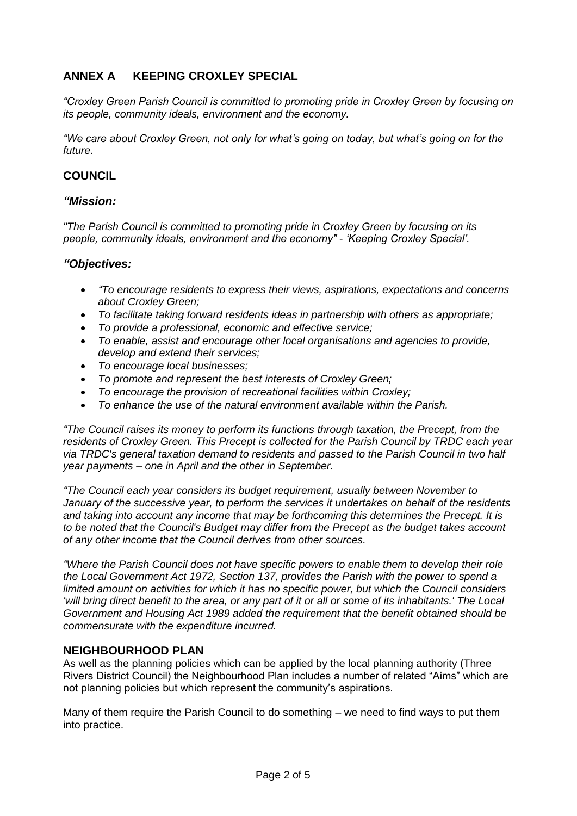# **ANNEX A KEEPING CROXLEY SPECIAL**

*"Croxley Green Parish Council is committed to promoting pride in Croxley Green by focusing on its people, community ideals, environment and the economy.*

*"We care about Croxley Green, not only for what's going on today, but what's going on for the future.*

## **COUNCIL**

## *"Mission:*

*"The Parish Council is committed to promoting pride in Croxley Green by focusing on its people, community ideals, environment and the economy" - 'Keeping Croxley Special'.*

## *"Objectives:*

- *"To encourage residents to express their views, aspirations, expectations and concerns about Croxley Green;*
- *To facilitate taking forward residents ideas in partnership with others as appropriate;*
- *To provide a professional, economic and effective service;*
- *To enable, assist and encourage other local organisations and agencies to provide, develop and extend their services;*
- *To encourage local businesses;*
- *To promote and represent the best interests of Croxley Green;*
- *To encourage the provision of recreational facilities within Croxley;*
- *To enhance the use of the natural environment available within the Parish.*

*"The Council raises its money to perform its functions through taxation, the Precept, from the residents of Croxley Green. This Precept is collected for the Parish Council by TRDC each year via TRDC's general taxation demand to residents and passed to the Parish Council in two half year payments – one in April and the other in September.*

*"The Council each year considers its budget requirement, usually between November to January of the successive year, to perform the services it undertakes on behalf of the residents and taking into account any income that may be forthcoming this determines the Precept. It is to be noted that the Council's Budget may differ from the Precept as the budget takes account of any other income that the Council derives from other sources.*

*"Where the Parish Council does not have specific powers to enable them to develop their role the Local Government Act 1972, Section 137, provides the Parish with the power to spend a limited amount on activities for which it has no specific power, but which the Council considers 'will bring direct benefit to the area, or any part of it or all or some of its inhabitants.' The Local Government and Housing Act 1989 added the requirement that the benefit obtained should be commensurate with the expenditure incurred.*

## **NEIGHBOURHOOD PLAN**

As well as the planning policies which can be applied by the local planning authority (Three Rivers District Council) the Neighbourhood Plan includes a number of related "Aims" which are not planning policies but which represent the community's aspirations.

Many of them require the Parish Council to do something – we need to find ways to put them into practice.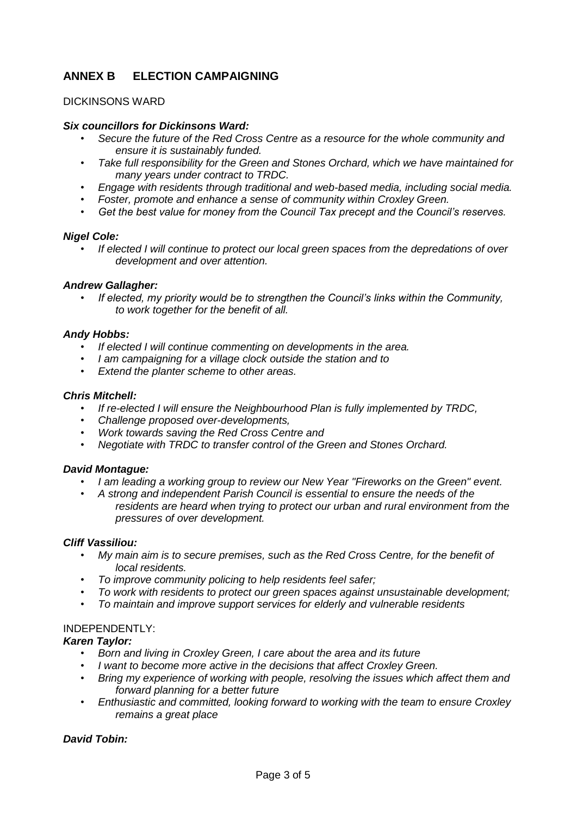# **ANNEX B ELECTION CAMPAIGNING**

## DICKINSONS WARD

### *Six councillors for Dickinsons Ward:*

- *Secure the future of the Red Cross Centre as a resource for the whole community and ensure it is sustainably funded.*
- *Take full responsibility for the Green and Stones Orchard, which we have maintained for many years under contract to TRDC.*
- *Engage with residents through traditional and web-based media, including social media.*
- *Foster, promote and enhance a sense of community within Croxley Green.*
- *Get the best value for money from the Council Tax precept and the Council's reserves.*

#### *Nigel Cole:*

• *If elected I will continue to protect our local green spaces from the depredations of over development and over attention.* 

#### *Andrew Gallagher:*

• *If elected, my priority would be to strengthen the Council's links within the Community, to work together for the benefit of all.* 

#### *Andy Hobbs:*

- *If elected I will continue commenting on developments in the area.*
- *I am campaigning for a village clock outside the station and to*
- *Extend the planter scheme to other areas.*

#### *Chris Mitchell:*

- *If re-elected I will ensure the Neighbourhood Plan is fully implemented by TRDC,*
- *Challenge proposed over-developments,*
- *Work towards saving the Red Cross Centre and*
- *Negotiate with TRDC to transfer control of the Green and Stones Orchard.*

#### *David Montague:*

- *I am leading a working group to review our New Year "Fireworks on the Green" event.*
- *A strong and independent Parish Council is essential to ensure the needs of the residents are heard when trying to protect our urban and rural environment from the pressures of over development.*

#### *Cliff Vassiliou:*

- *My main aim is to secure premises, such as the Red Cross Centre, for the benefit of local residents.*
- *To improve community policing to help residents feel safer;*
- *To work with residents to protect our green spaces against unsustainable development;*
- *To maintain and improve support services for elderly and vulnerable residents*

## INDEPENDENTLY:

## *Karen Taylor:*

- *Born and living in Croxley Green, I care about the area and its future*
- *I want to become more active in the decisions that affect Croxley Green.*
- *Bring my experience of working with people, resolving the issues which affect them and forward planning for a better future*
- *Enthusiastic and committed, looking forward to working with the team to ensure Croxley remains a great place*

## *David Tobin:*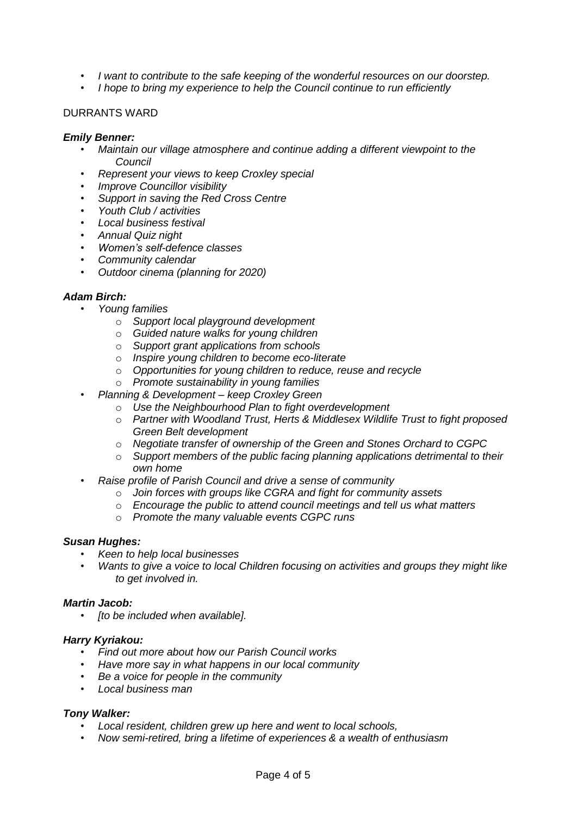- *I want to contribute to the safe keeping of the wonderful resources on our doorstep.*
- *I hope to bring my experience to help the Council continue to run efficiently*

## DURRANTS WARD

#### *Emily Benner:*

- *Maintain our village atmosphere and continue adding a different viewpoint to the Council*
- *Represent your views to keep Croxley special*
- *Improve Councillor visibility*
- *Support in saving the Red Cross Centre*
- *Youth Club / activities*
- *Local business festival*
- *Annual Quiz night*
- *Women's self-defence classes*
- *Community calendar*
- *Outdoor cinema (planning for 2020)*

### *Adam Birch:*

- *Young families*
	- o *Support local playground development*
	- o *Guided nature walks for young children*
	- o *Support grant applications from schools*
	- o *Inspire young children to become eco-literate*
	- o *Opportunities for young children to reduce, reuse and recycle*
	- o *Promote sustainability in young families*
- *Planning & Development – keep Croxley Green* 
	- o *Use the Neighbourhood Plan to fight overdevelopment*
	- o *Partner with Woodland Trust, Herts & Middlesex Wildlife Trust to fight proposed Green Belt development*
	- o *Negotiate transfer of ownership of the Green and Stones Orchard to CGPC*
	- o *Support members of the public facing planning applications detrimental to their own home*
- *Raise profile of Parish Council and drive a sense of community* 
	- o *Join forces with groups like CGRA and fight for community assets*
	- o *Encourage the public to attend council meetings and tell us what matters*
	- o *Promote the many valuable events CGPC runs*

#### *Susan Hughes:*

- *Keen to help local businesses*
- *Wants to give a voice to local Children focusing on activities and groups they might like to get involved in.*

#### *Martin Jacob:*

• *[to be included when available].*

#### *Harry Kyriakou:*

- *Find out more about how our Parish Council works*
- *Have more say in what happens in our local community*
- *Be a voice for people in the community*
- *Local business man*

#### *Tony Walker:*

- *Local resident, children grew up here and went to local schools,*
- *Now semi-retired, bring a lifetime of experiences & a wealth of enthusiasm*